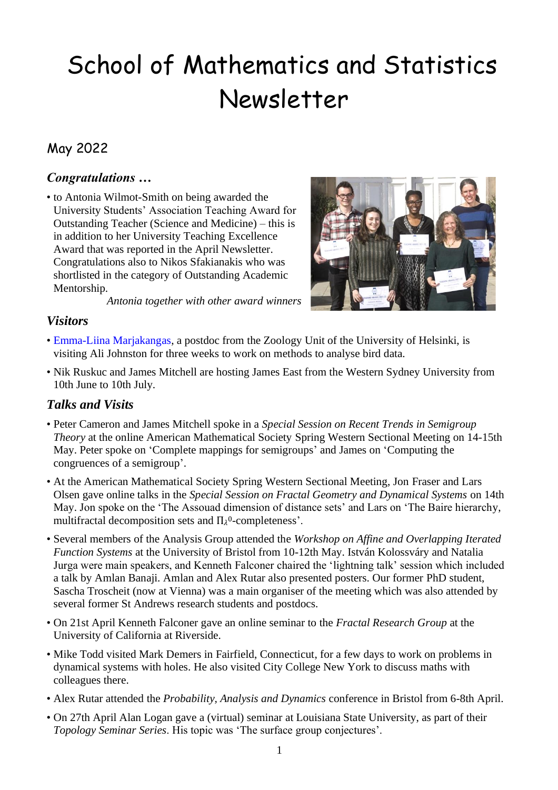# School of Mathematics and Statistics Newsletter

# May 2022

# *Congratulations …*

• to Antonia Wilmot-Smith on being awarded the University Students' Association Teaching Award for Outstanding Teacher (Science and Medicine) – this is in addition to her University Teaching Excellence Award that was reported in the April Newsletter. Congratulations also to Nikos Sfakianakis who was shortlisted in the category of Outstanding Academic Mentorship.



*Antonia together with other award winners*

## *Visitors*

- • [Emma-Liina Marjakangas,](https://researchportal.helsinki.fi/en/persons/emma-liina-marjakangas) a postdoc from the Zoology Unit of the University of Helsinki, is visiting Ali Johnston for three weeks to work on methods to analyse bird data.
- Nik Ruskuc and James Mitchell are hosting James East from the Western Sydney University from 10th June to 10th July.

# *Talks and Visits*

- Peter Cameron and James Mitchell spoke in a *Special Session on Recent Trends in Semigroup Theory* at the online American Mathematical Society Spring Western Sectional Meeting on 14-15th May. Peter spoke on 'Complete mappings for semigroups' and James on 'Computing the congruences of a semigroup'.
- At the American Mathematical Society Spring Western Sectional Meeting, Jon Fraser and Lars Olsen gave online talks in the *Special Session on Fractal Geometry and Dynamical Systems* on 14th May. Jon spoke on the 'The Assouad dimension of distance sets' and Lars on 'The Baire hierarchy, multifractal decomposition sets and  $\Pi_{\lambda}^0$ -completeness'.
- Several members of the Analysis Group attended the *Workshop on Affine and Overlapping Iterated Function Systems* at the University of Bristol from 10-12th May. István Kolossváry and Natalia Jurga were main speakers, and Kenneth Falconer chaired the 'lightning talk' session which included a talk by Amlan Banaji. Amlan and Alex Rutar also presented posters. Our former PhD student, Sascha Troscheit (now at Vienna) was a main organiser of the meeting which was also attended by several former St Andrews research students and postdocs.
- On 21st April Kenneth Falconer gave an online seminar to the *Fractal Research Group* at the University of California at Riverside.
- Mike Todd visited Mark Demers in Fairfield, Connecticut, for a few days to work on problems in dynamical systems with holes. He also visited City College New York to discuss maths with colleagues there.
- Alex Rutar attended the *Probability, Analysis and Dynamics* conference in Bristol from 6-8th April.
- On 27th April Alan Logan gave a (virtual) seminar at Louisiana State University, as part of their *Topology Seminar Series*. His topic was 'The surface group conjectures'.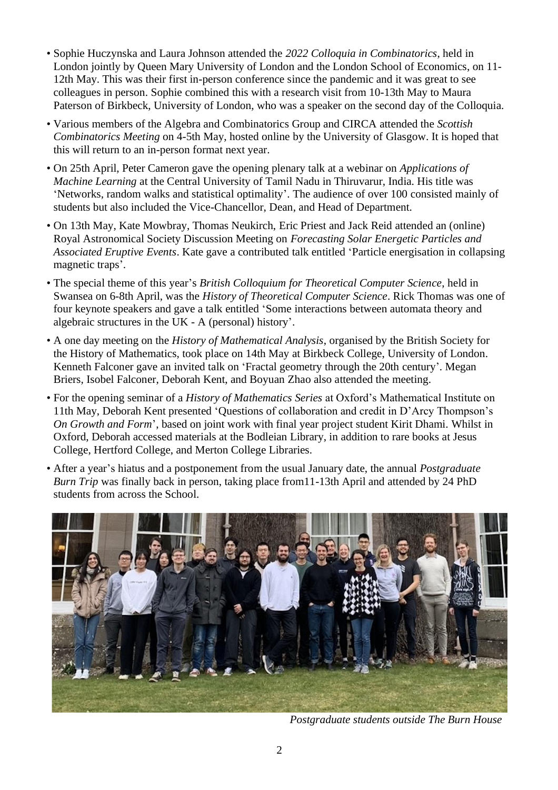- Sophie Huczynska and Laura Johnson attended the *2022 Colloquia in Combinatorics*, held in London jointly by Queen Mary University of London and the London School of Economics, on 11- 12th May. This was their first in-person conference since the pandemic and it was great to see colleagues in person. Sophie combined this with a research visit from 10-13th May to Maura Paterson of Birkbeck, University of London, who was a speaker on the second day of the Colloquia.
- Various members of the Algebra and Combinatorics Group and CIRCA attended the *Scottish Combinatorics Meeting* on 4-5th May, hosted online by the University of Glasgow. It is hoped that this will return to an in-person format next year.
- On 25th April, Peter Cameron gave the opening plenary talk at a webinar on *Applications of Machine Learning* at the Central University of Tamil Nadu in Thiruvarur, India. His title was 'Networks, random walks and statistical optimality'. The audience of over 100 consisted mainly of students but also included the Vice-Chancellor, Dean, and Head of Department.
- On 13th May, Kate Mowbray, Thomas Neukirch, Eric Priest and Jack Reid attended an (online) Royal Astronomical Society Discussion Meeting on *Forecasting Solar Energetic Particles and Associated Eruptive Events*. Kate gave a contributed talk entitled 'Particle energisation in collapsing magnetic traps'.
- The special theme of this year's *British Colloquium for Theoretical Computer Science*, held in Swansea on 6-8th April, was the *History of Theoretical Computer Science*. Rick Thomas was one of four keynote speakers and gave a talk entitled 'Some interactions between automata theory and algebraic structures in the UK - A (personal) history'.
- A one day meeting on the *History of Mathematical Analysis*, organised by the British Society for the History of Mathematics, took place on 14th May at Birkbeck College, University of London. Kenneth Falconer gave an invited talk on 'Fractal geometry through the 20th century'. Megan Briers, Isobel Falconer, Deborah Kent, and Boyuan Zhao also attended the meeting.
- For the opening seminar of a *History of Mathematics Series* at Oxford's Mathematical Institute on 11th May, Deborah Kent presented 'Questions of collaboration and credit in D'Arcy Thompson's *On Growth and Form*', based on joint work with final year project student Kirit Dhami. Whilst in Oxford, Deborah accessed materials at the Bodleian Library, in addition to rare books at Jesus College, Hertford College, and Merton College Libraries.
- After a year's hiatus and a postponement from the usual January date, the annual *Postgraduate Burn Trip* was finally back in person, taking place from11-13th April and attended by 24 PhD students from across the School.



*Postgraduate students outside The Burn House*